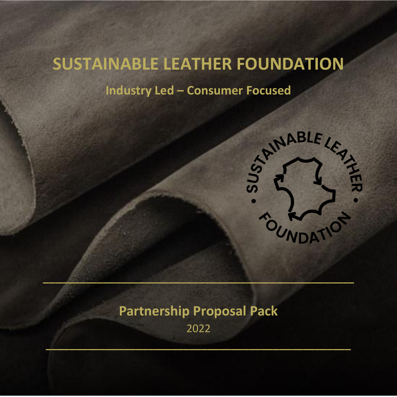# **SUSTAINABLE LEATHER FOUNDATION**

**Industry Led – Consumer Focused**



# **Partnership Proposal Pack**

**\_\_\_\_\_\_\_\_\_\_\_\_\_\_\_\_\_\_\_\_\_\_\_\_\_\_\_\_\_\_\_\_\_\_\_\_\_\_\_\_\_\_\_\_\_\_\_\_\_\_\_\_**

2022

**\_\_\_\_\_\_\_\_\_\_\_\_\_\_\_\_\_\_\_\_\_\_\_\_\_\_\_\_\_\_\_\_\_\_\_\_\_\_\_\_\_\_\_\_\_\_\_\_\_\_\_**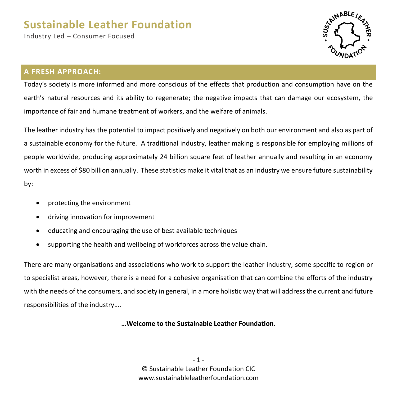Industry Led – Consumer Focused



### **A FRESH APPROACH:**

Today's society is more informed and more conscious of the effects that production and consumption have on the earth's natural resources and its ability to regenerate; the negative impacts that can damage our ecosystem, the importance of fair and humane treatment of workers, and the welfare of animals.

The leather industry has the potential to impact positively and negatively on both our environment and also as part of a sustainable economy for the future. A traditional industry, leather making is responsible for employing millions of people worldwide, producing approximately 24 billion square feet of leather annually and resulting in an economy worth in excess of \$80 billion annually. These statistics make it vital that as an industry we ensure future sustainability by:

- protecting the environment
- driving innovation for improvement
- educating and encouraging the use of best available techniques
- supporting the health and wellbeing of workforces across the value chain.

There are many organisations and associations who work to support the leather industry, some specific to region or to specialist areas, however, there is a need for a cohesive organisation that can combine the efforts of the industry with the needs of the consumers, and society in general, in a more holistic way that will address the current and future responsibilities of the industry….

**…Welcome to the Sustainable Leather Foundation.**

 $-1 -$ © Sustainable Leather Foundation CIC www.sustainableleatherfoundation.com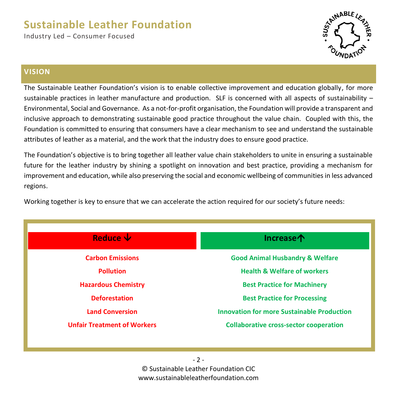Industry Led – Consumer Focused



#### **VISION**

The Sustainable Leather Foundation's vision is to enable collective improvement and education globally, for more sustainable practices in leather manufacture and production. SLF is concerned with all aspects of sustainability – Environmental, Social and Governance. As a not-for-profit organisation, the Foundation will provide a transparent and inclusive approach to demonstrating sustainable good practice throughout the value chain. Coupled with this, the Foundation is committed to ensuring that consumers have a clear mechanism to see and understand the sustainable attributes of leather as a material, and the work that the industry does to ensure good practice.

The Foundation's objective is to bring together all leather value chain stakeholders to unite in ensuring a sustainable future for the leather industry by shining a spotlight on innovation and best practice, providing a mechanism for improvement and education, while also preserving the social and economic wellbeing of communities in less advanced regions.

Working together is key to ensure that we can accelerate the action required for our society's future needs:

| Reduce $\mathbf \Psi$              | <b>Increase个</b>                                  |
|------------------------------------|---------------------------------------------------|
| <b>Carbon Emissions</b>            | <b>Good Animal Husbandry &amp; Welfare</b>        |
| <b>Pollution</b>                   | <b>Health &amp; Welfare of workers</b>            |
| <b>Hazardous Chemistry</b>         | <b>Best Practice for Machinery</b>                |
| <b>Deforestation</b>               | <b>Best Practice for Processing</b>               |
| <b>Land Conversion</b>             | <b>Innovation for more Sustainable Production</b> |
| <b>Unfair Treatment of Workers</b> | <b>Collaborative cross-sector cooperation</b>     |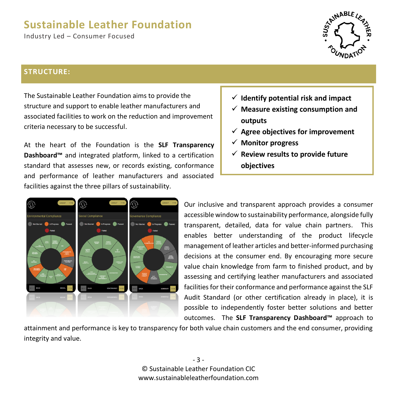Industry Led – Consumer Focused



#### **STRUCTURE:**

The Sustainable Leather Foundation aims to provide the structure and support to enable leather manufacturers and associated facilities to work on the reduction and improvement criteria necessary to be successful.

At the heart of the Foundation is the **SLF Transparency Dashboard™** and integrated platform, linked to a certification standard that assesses new, or records existing, conformance and performance of leather manufacturers and associated facilities against the three pillars of sustainability.

- ✓ **Identify potential risk and impact**
- ✓ **Measure existing consumption and outputs**
- ✓ **Agree objectives for improvement**
- ✓ **Monitor progress**
- ✓ **Review results to provide future objectives**



Our inclusive and transparent approach provides a consumer accessible window to sustainability performance, alongside fully transparent, detailed, data for value chain partners. This enables better understanding of the product lifecycle management of leather articles and better-informed purchasing decisions at the consumer end. By encouraging more secure value chain knowledge from farm to finished product, and by assessing and certifying leather manufacturers and associated facilities for their conformance and performance against the SLF Audit Standard (or other certification already in place), it is possible to independently foster better solutions and better outcomes. The **SLF Transparency Dashboard™** approach to

attainment and performance is key to transparency for both value chain customers and the end consumer, providing integrity and value.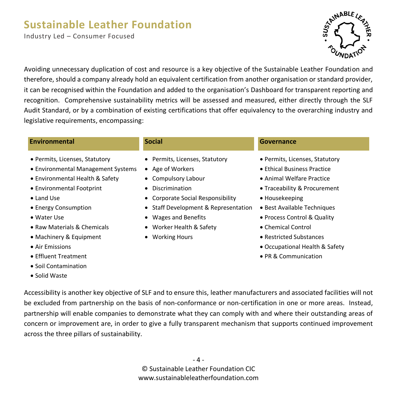Industry Led – Consumer Focused



Avoiding unnecessary duplication of cost and resource is a key objective of the Sustainable Leather Foundation and therefore, should a company already hold an equivalent certification from another organisation or standard provider, it can be recognised within the Foundation and added to the organisation's Dashboard for transparent reporting and recognition. Comprehensive sustainability metrics will be assessed and measured, either directly through the SLF Audit Standard, or by a combination of existing certifications that offer equivalency to the overarching industry and legislative requirements, encompassing:

#### **Environmental Social Governance**

- Permits, Licenses, Statutory
- Environmental Management Systems
- Environmental Health & Safety
- Environmental Footprint
- Land Use
- Energy Consumption
- Water Use
- Raw Materials & Chemicals
- Machinery & Equipment
- Air Emissions
- Effluent Treatment
- Soil Contamination
- Solid Waste
- Permits, Licenses, Statutory
- Age of Workers
- Compulsory Labour
- Discrimination
- Corporate Social Responsibility
- Staff Development & Representation
- Wages and Benefits
- Worker Health & Safety
- Working Hours

- Permits, Licenses, Statutory
- Ethical Business Practice
- Animal Welfare Practice
- Traceability & Procurement
- Housekeeping
- Best Available Techniques
- Process Control & Quality
- Chemical Control
- Restricted Substances
- Occupational Health & Safety
- PR & Communication

Accessibility is another key objective of SLF and to ensure this, leather manufacturers and associated facilities will not be excluded from partnership on the basis of non-conformance or non-certification in one or more areas. Instead, partnership will enable companies to demonstrate what they can comply with and where their outstanding areas of concern or improvement are, in order to give a fully transparent mechanism that supports continued improvement across the three pillars of sustainability.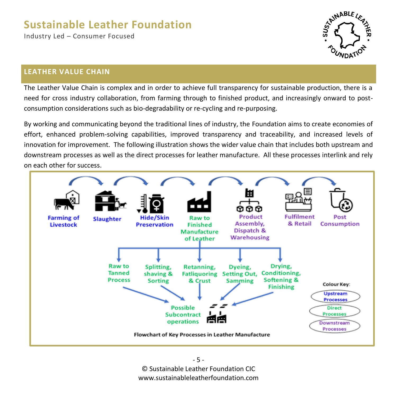Industry Led – Consumer Focused



### **LEATHER VALUE CHAIN**

The Leather Value Chain is complex and in order to achieve full transparency for sustainable production, there is a need for cross industry collaboration, from farming through to finished product, and increasingly onward to postconsumption considerations such as bio-degradability or re-cycling and re-purposing.

By working and communicating beyond the traditional lines of industry, the Foundation aims to create economies of effort, enhanced problem-solving capabilities, improved transparency and traceability, and increased levels of innovation for improvement. The following illustration shows the wider value chain that includes both upstream and downstream processes as well as the direct processes for leather manufacture. All these processes interlink and rely on each other for success.

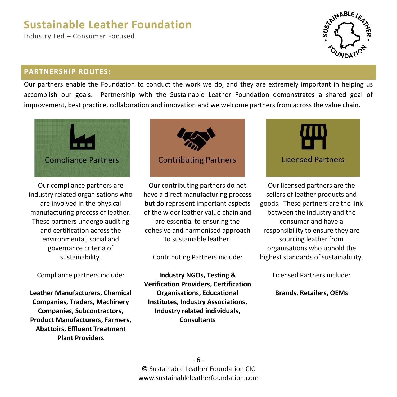Industry Led – Consumer Focused



### **PARTNERSHIP ROUTES:**

Our partners enable the Foundation to conduct the work we do, and they are extremely important in helping us accomplish our goals. Partnership with the Sustainable Leather Foundation demonstrates a shared goal of improvement, best practice, collaboration and innovation and we welcome partners from across the value chain.



Our compliance partners are industry related organisations who are involved in the physical manufacturing process of leather. These partners undergo auditing and certification across the environmental, social and governance criteria of sustainability.

Compliance partners include:

**Leather Manufacturers, Chemical Companies, Traders, Machinery Companies, Subcontractors, Product Manufacturers, Farmers, Abattoirs, Effluent Treatment Plant Providers**



Our contributing partners do not have a direct manufacturing process but do represent important aspects of the wider leather value chain and are essential to ensuring the cohesive and harmonised approach to sustainable leather.

Contributing Partners include:

**Industry NGOs, Testing & Verification Providers, Certification Organisations, Educational Institutes, Industry Associations, Industry related individuals, Consultants**



Our licensed partners are the sellers of leather products and goods. These partners are the link between the industry and the consumer and have a responsibility to ensure they are sourcing leather from organisations who uphold the highest standards of sustainability.

Licensed Partners include:

**Brands, Retailers, OEMs**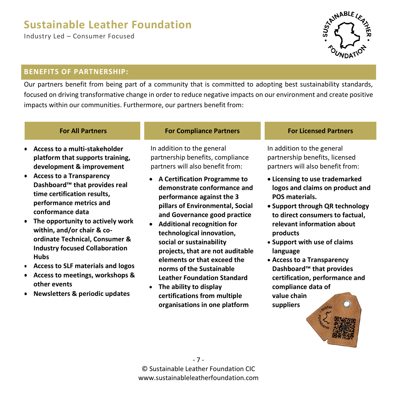Industry Led – Consumer Focused



### **BENEFITS OF PARTNERSHIP:**

Our partners benefit from being part of a community that is committed to adopting best sustainability standards, focused on driving transformative change in order to reduce negative impacts on our environment and create positive impacts within our communities. Furthermore, our partners benefit from:

- **Access to a multi-stakeholder platform that supports training, development & improvement**
- **Access to a Transparency Dashboard™ that provides real time certification results, performance metrics and conformance data**
- **The opportunity to actively work within, and/or chair & coordinate Technical, Consumer & Industry focused Collaboration Hubs**
- **Access to SLF materials and logos**
- **Access to meetings, workshops & other events**
- **Newsletters & periodic updates**

#### **For All Partners For Compliance Partners For Licensed Partners**

In addition to the general partnership benefits, compliance partners will also benefit from:

- **A Certification Programme to demonstrate conformance and performance against the 3 pillars of Environmental, Social and Governance good practice**
- **Additional recognition for technological innovation, social or sustainability projects, that are not auditable elements or that exceed the norms of the Sustainable Leather Foundation Standard**
- **The ability to display certifications from multiple organisations in one platform**

In addition to the general partnership benefits, licensed partners will also benefit from:

- **Licensing to use trademarked logos and claims on product and POS materials.**
- **Support through QR technology to direct consumers to factual, relevant information about products**
- **Support with use of claims language**
- **Access to a Transparency Dashboard™ that provides certification, performance and compliance data of value chain**

**suppliers**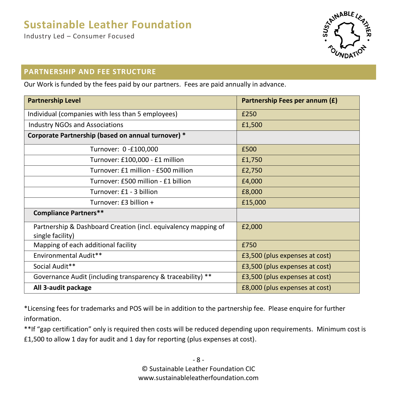Industry Led – Consumer Focused



### **PARTNERSHIP AND FEE STRUCTURE**

Our Work is funded by the fees paid by our partners. Fees are paid annually in advance.

| <b>Partnership Level</b>                                                           | Partnership Fees per annum (£) |
|------------------------------------------------------------------------------------|--------------------------------|
| Individual (companies with less than 5 employees)                                  | £250                           |
| <b>Industry NGOs and Associations</b>                                              | £1,500                         |
| Corporate Partnership (based on annual turnover) *                                 |                                |
| Turnover: 0-£100,000                                                               | £500                           |
| Turnover: £100,000 - £1 million                                                    | £1,750                         |
| Turnover: £1 million - £500 million                                                | £2,750                         |
| Turnover: £500 million - £1 billion                                                | £4,000                         |
| Turnover: £1 - 3 billion                                                           | £8,000                         |
| Turnover: £3 billion +                                                             | £15,000                        |
| <b>Compliance Partners**</b>                                                       |                                |
| Partnership & Dashboard Creation (incl. equivalency mapping of<br>single facility) | £2,000                         |
| Mapping of each additional facility                                                | £750                           |
| Environmental Audit**                                                              | £3,500 (plus expenses at cost) |
| Social Audit**                                                                     | £3,500 (plus expenses at cost) |
| Governance Audit (including transparency & traceability) **                        | £3,500 (plus expenses at cost) |
| All 3-audit package                                                                | £8,000 (plus expenses at cost) |

\*Licensing fees for trademarks and POS will be in addition to the partnership fee. Please enquire for further information.

\*\*If "gap certification" only is required then costs will be reduced depending upon requirements. Minimum cost is £1,500 to allow 1 day for audit and 1 day for reporting (plus expenses at cost).